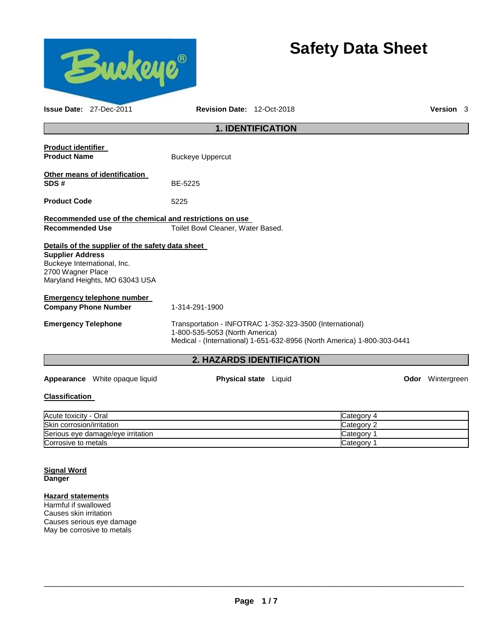

# **Hazard statements**

Harmful if swallowed Causes skin irritation Causes serious eye damage May be corrosive to metals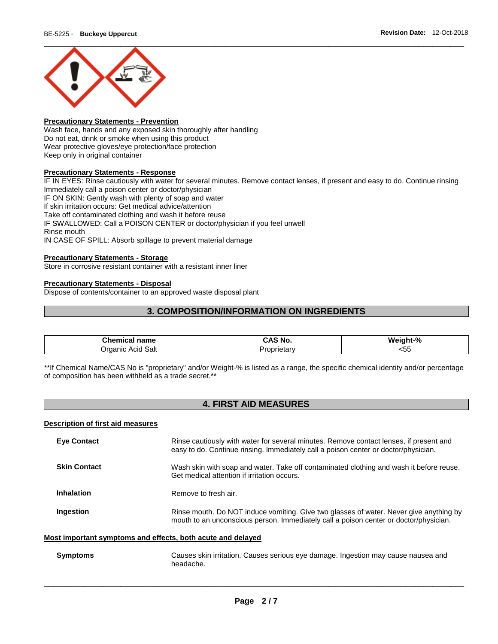

### **Precautionary Statements - Prevention**

Wash face, hands and any exposed skin thoroughly after handling Do not eat, drink or smoke when using this product Wear protective gloves/eye protection/face protection Keep only in original container

### **Precautionary Statements - Response**

IF IN EYES: Rinse cautiously with water for several minutes. Remove contact lenses, if present and easy to do. Continue rinsing Immediately call a poison center or doctor/physician IF ON SKIN: Gently wash with plenty of soap and water If skin irritation occurs: Get medical advice/attention Take off contaminated clothing and wash it before reuse IF SWALLOWED: Call a POISON CENTER or doctor/physician if you feel unwell Rinse mouth IN CASE OF SPILL: Absorb spillage to prevent material damage

## **Precautionary Statements - Storage**

Store in corrosive resistant container with a resistant inner liner

### **Precautionary Statements - Disposal**

Dispose of contents/container to an approved waste disposal plant

## **3. COMPOSITION/INFORMATION ON INGREDIENTS**

| name<br>.<br>IIGal                       | ิ่∼ N∪.   | We<br>iaht-%<br>70 |
|------------------------------------------|-----------|--------------------|
| ' Salt<br><i>I</i> rganic<br>Acid<br>___ | oprietary | - -<br>ີ           |

\*\*If Chemical Name/CAS No is "proprietary" and/or Weight-% is listed as a range, the specific chemical identity and/or percentage of composition has been withheld as a trade secret.\*\*

## **4. FIRST AID MEASURES**

### **Description of first aid measures**

| <b>Eye Contact</b>  | Rinse cautiously with water for several minutes. Remove contact lenses, if present and<br>easy to do. Continue rinsing. Immediately call a poison center or doctor/physician.   |
|---------------------|---------------------------------------------------------------------------------------------------------------------------------------------------------------------------------|
| <b>Skin Contact</b> | Wash skin with soap and water. Take off contaminated clothing and wash it before reuse.<br>Get medical attention if irritation occurs.                                          |
| Inhalation          | Remove to fresh air.                                                                                                                                                            |
| Ingestion           | Rinse mouth. Do NOT induce vomiting. Give two glasses of water. Never give anything by<br>mouth to an unconscious person. Immediately call a poison center or doctor/physician. |
|                     | Most important symptoms and effects, both acute and delayed                                                                                                                     |

**Symptoms** Causes skin irritation. Causes serious eye damage. Ingestion may cause nausea and headache.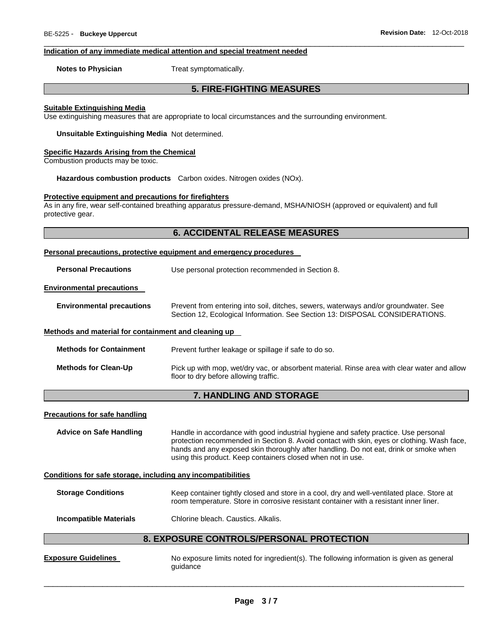### **Indication of any immediate medical attention and special treatment needed**

**Notes to Physician**  Treat symptomatically.

## **5. FIRE-FIGHTING MEASURES**

\_\_\_\_\_\_\_\_\_\_\_\_\_\_\_\_\_\_\_\_\_\_\_\_\_\_\_\_\_\_\_\_\_\_\_\_\_\_\_\_\_\_\_\_\_\_\_\_\_\_\_\_\_\_\_\_\_\_\_\_\_\_\_\_\_\_\_\_\_\_\_\_\_\_\_\_\_\_\_\_\_\_\_\_\_\_\_\_\_\_\_\_\_

### **Suitable Extinguishing Media**

Use extinguishing measures that are appropriate to local circumstances and the surrounding environment.

**Unsuitable Extinguishing Media** Not determined.

#### **Specific Hazards Arising from the Chemical**

Combustion products may be toxic.

**Hazardous combustion products** Carbon oxides. Nitrogen oxides (NOx).

### **Protective equipment and precautions for firefighters**

As in any fire, wear self-contained breathing apparatus pressure-demand, MSHA/NIOSH (approved or equivalent) and full protective gear.

## **6. ACCIDENTAL RELEASE MEASURES**

#### **Personal precautions, protective equipment and emergency procedures**

**Personal Precautions** Use personal protection recommended in Section 8.

### **Environmental precautions**

**Environmental precautions** Prevent from entering into soil, ditches, sewers, waterways and/or groundwater. See Section 12, Ecological Information. See Section 13: DISPOSAL CONSIDERATIONS.

### **Methods and material for containment and cleaning up**

| <b>Methods for Containment</b> | Prevent further leakage or spillage if safe to do so.                                                                                |
|--------------------------------|--------------------------------------------------------------------------------------------------------------------------------------|
| <b>Methods for Clean-Up</b>    | Pick up with mop, wet/dry vac, or absorbent material. Rinse area with clear water and allow<br>floor to dry before allowing traffic. |

## **7. HANDLING AND STORAGE**

### **Precautions for safe handling**

**Advice on Safe Handling** Handle in accordance with good industrial hygiene and safety practice. Use personal protection recommended in Section 8. Avoid contact with skin, eyes or clothing. Wash face, hands and any exposed skin thoroughly after handling. Do not eat, drink or smoke when using this product. Keep containers closed when not in use.

**Conditions for safe storage, including any incompatibilities**

**Storage Conditions** Keep container tightly closed and store in a cool, dry and well-ventilated place. Store at room temperature. Store in corrosive resistant container with a resistant inner liner.

**Incompatible Materials** Chlorine bleach. Caustics. Alkalis.

## **8. EXPOSURE CONTROLS/PERSONAL PROTECTION**

**Exposure Guidelines** No exposure limits noted for ingredient(s). The following information is given as general guidance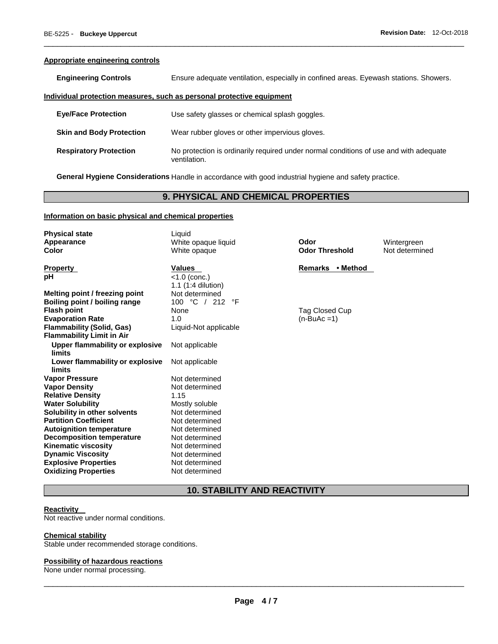### **Appropriate engineering controls**

| <b>Engineering Controls</b>     | Ensure adequate ventilation, especially in confined areas. Eyewash stations. Showers. |
|---------------------------------|---------------------------------------------------------------------------------------|
|                                 | Individual protection measures, such as personal protective equipment                 |
| <b>Eye/Face Protection</b>      | Use safety glasses or chemical splash goggles.                                        |
| <b>Skin and Body Protection</b> | Wear rubber gloves or other impervious gloves.                                        |

\_\_\_\_\_\_\_\_\_\_\_\_\_\_\_\_\_\_\_\_\_\_\_\_\_\_\_\_\_\_\_\_\_\_\_\_\_\_\_\_\_\_\_\_\_\_\_\_\_\_\_\_\_\_\_\_\_\_\_\_\_\_\_\_\_\_\_\_\_\_\_\_\_\_\_\_\_\_\_\_\_\_\_\_\_\_\_\_\_\_\_\_\_

| <b>Respiratory Protection</b> | No protection is ordinarily required under normal conditions of use and with adequate<br>ventilation. |
|-------------------------------|-------------------------------------------------------------------------------------------------------|
|                               |                                                                                                       |

**General Hygiene Considerations** Handle in accordance with good industrial hygiene and safety practice.

## **9. PHYSICAL AND CHEMICAL PROPERTIES**

## **Information on basic physical and chemical properties**

| <b>Physical state</b><br>Appearance<br>Color                    | Liquid<br>White opaque liquid<br>White opaque          | Odor<br><b>Odor Threshold</b> | Wintergreen<br>Not determined |
|-----------------------------------------------------------------|--------------------------------------------------------|-------------------------------|-------------------------------|
| <b>Property</b><br>рH                                           | <b>Values</b><br>$< 1.0$ (conc.)<br>1.1 (1:4 dilution) | Remarks • Method              |                               |
| Melting point / freezing point<br>Boiling point / boiling range | Not determined<br>100 °C / 212 °F                      |                               |                               |
| <b>Flash point</b>                                              | None                                                   | Tag Closed Cup                |                               |
| <b>Evaporation Rate</b><br><b>Flammability (Solid, Gas)</b>     | 1.0                                                    | $(n-BuAc=1)$                  |                               |
| <b>Flammability Limit in Air</b>                                | Liquid-Not applicable                                  |                               |                               |
| Upper flammability or explosive                                 | Not applicable                                         |                               |                               |
| limits<br>Lower flammability or explosive<br>limits             | Not applicable                                         |                               |                               |
| <b>Vapor Pressure</b>                                           | Not determined                                         |                               |                               |
| <b>Vapor Density</b>                                            | Not determined                                         |                               |                               |
| <b>Relative Density</b><br><b>Water Solubility</b>              | 1.15<br>Mostly soluble                                 |                               |                               |
| Solubility in other solvents                                    | Not determined                                         |                               |                               |
| <b>Partition Coefficient</b>                                    | Not determined                                         |                               |                               |
| <b>Autoignition temperature</b>                                 | Not determined                                         |                               |                               |
| <b>Decomposition temperature</b>                                | Not determined                                         |                               |                               |
| Kinematic viscosity                                             | Not determined                                         |                               |                               |
| <b>Dynamic Viscosity</b><br><b>Explosive Properties</b>         | Not determined<br>Not determined                       |                               |                               |
|                                                                 |                                                        |                               |                               |

## **10. STABILITY AND REACTIVITY**

## **Reactivity**

Not reactive under normal conditions.

### **Chemical stability**

Stable under recommended storage conditions.

**Oxidizing Properties** Not determined

### **Possibility of hazardous reactions**

None under normal processing.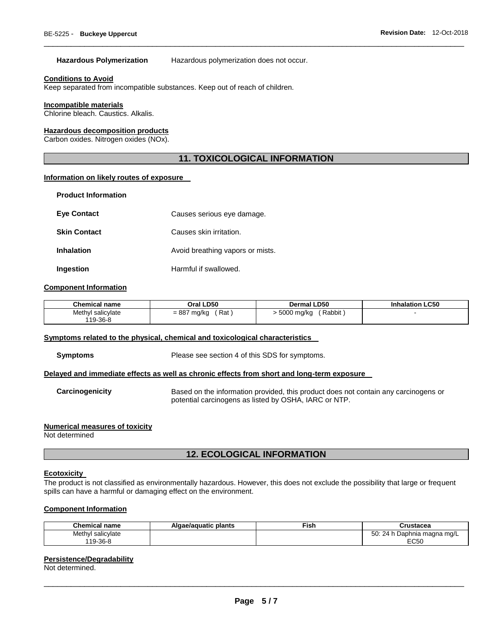#### **Hazardous Polymerization** Hazardous polymerization does not occur.

#### **Conditions to Avoid**

Keep separated from incompatible substances. Keep out of reach of children.

## **Incompatible materials**

Chlorine bleach. Caustics. Alkalis.

## **Hazardous decomposition products**

Carbon oxides. Nitrogen oxides (NOx).

## **11. TOXICOLOGICAL INFORMATION**

\_\_\_\_\_\_\_\_\_\_\_\_\_\_\_\_\_\_\_\_\_\_\_\_\_\_\_\_\_\_\_\_\_\_\_\_\_\_\_\_\_\_\_\_\_\_\_\_\_\_\_\_\_\_\_\_\_\_\_\_\_\_\_\_\_\_\_\_\_\_\_\_\_\_\_\_\_\_\_\_\_\_\_\_\_\_\_\_\_\_\_\_\_

### **Information on likely routes of exposure**

| <b>Product Information</b> |                                  |
|----------------------------|----------------------------------|
| <b>Eve Contact</b>         | Causes serious eye damage.       |
| <b>Skin Contact</b>        | Causes skin irritation.          |
| Inhalation                 | Avoid breathing vapors or mists. |
| Ingestion                  | Harmful if swallowed.            |

#### **Component Information**

| Chemical name     | Oral LD50          | <b>Dermal LD50</b>   | <b>Inhalation LC50</b> |  |
|-------------------|--------------------|----------------------|------------------------|--|
| Methyl salicylate | = 887 mg/kg<br>Rat | Rabbit<br>5000 mg/kg |                        |  |
| 19-36-8           |                    |                      |                        |  |

### **Symptoms related to the physical, chemical and toxicological characteristics**

**Symptoms** Please see section 4 of this SDS for symptoms.

#### **Delayed and immediate effects as well as chronic effects from short and long-term exposure**

**Carcinogenicity** Based on the information provided, this product does not contain any carcinogens or potential carcinogens as listed by OSHA, IARC or NTP.

### **Numerical measures of toxicity**

Not determined

### **12. ECOLOGICAL INFORMATION**

#### **Ecotoxicity**

The product is not classified as environmentally hazardous. However, this does not exclude the possibility that large or frequent spills can have a harmful or damaging effect on the environment.

## **Component Information**

| <b>Chemical name</b> | Algae/aguatic plants | ™ish | Crustacea                   |
|----------------------|----------------------|------|-----------------------------|
| Methyl salicylate    |                      |      | 50: 24 h Daphnia magna mg/L |
| 119-36-8             |                      |      | <b>EC50</b>                 |

#### **Persistence/Degradability**

Not determined.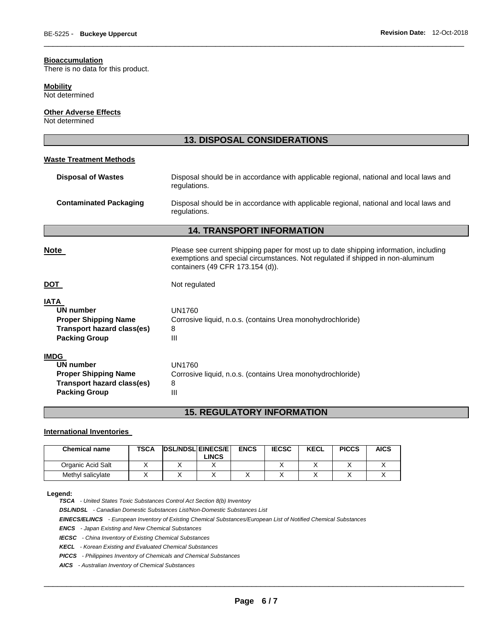### **Bioaccumulation**

There is no data for this product.

### **Mobility**

Not determined

## **Other Adverse Effects**

Not determined

| <b>13. DISPOSAL CONSIDERATIONS</b>                                                                                          |                                                                                                                                                                                                             |  |  |  |  |
|-----------------------------------------------------------------------------------------------------------------------------|-------------------------------------------------------------------------------------------------------------------------------------------------------------------------------------------------------------|--|--|--|--|
| <b>Waste Treatment Methods</b>                                                                                              |                                                                                                                                                                                                             |  |  |  |  |
| <b>Disposal of Wastes</b>                                                                                                   | Disposal should be in accordance with applicable regional, national and local laws and<br>regulations.                                                                                                      |  |  |  |  |
| <b>Contaminated Packaging</b>                                                                                               | Disposal should be in accordance with applicable regional, national and local laws and<br>regulations.                                                                                                      |  |  |  |  |
|                                                                                                                             | <b>14. TRANSPORT INFORMATION</b>                                                                                                                                                                            |  |  |  |  |
| <b>Note</b>                                                                                                                 | Please see current shipping paper for most up to date shipping information, including<br>exemptions and special circumstances. Not regulated if shipped in non-aluminum<br>containers (49 CFR 173.154 (d)). |  |  |  |  |
| <u>DOT</u>                                                                                                                  | Not regulated                                                                                                                                                                                               |  |  |  |  |
| IATA<br><b>UN number</b><br><b>Proper Shipping Name</b><br>Transport hazard class(es)<br><b>Packing Group</b>               | <b>UN1760</b><br>Corrosive liquid, n.o.s. (contains Urea monohydrochloride)<br>8<br>$\mathbf{III}$                                                                                                          |  |  |  |  |
| <b>IMDG</b><br><b>UN number</b><br><b>Proper Shipping Name</b><br><b>Transport hazard class(es)</b><br><b>Packing Group</b> | <b>UN1760</b><br>Corrosive liquid, n.o.s. (contains Urea monohydrochloride)<br>8<br>III                                                                                                                     |  |  |  |  |

\_\_\_\_\_\_\_\_\_\_\_\_\_\_\_\_\_\_\_\_\_\_\_\_\_\_\_\_\_\_\_\_\_\_\_\_\_\_\_\_\_\_\_\_\_\_\_\_\_\_\_\_\_\_\_\_\_\_\_\_\_\_\_\_\_\_\_\_\_\_\_\_\_\_\_\_\_\_\_\_\_\_\_\_\_\_\_\_\_\_\_\_\_

## **15. REGULATORY INFORMATION**

### **International Inventories**

| <b>Chemical name</b> | TSCA | <b>DSL/NDSL EINECS/E</b> | LINCS | <b>ENCS</b> | <b>IECSC</b> | <b>KECL</b> | <b>PICCS</b> | <b>AICS</b> |
|----------------------|------|--------------------------|-------|-------------|--------------|-------------|--------------|-------------|
| Organic Acid Salt    |      |                          |       |             |              |             |              |             |
| Methyl salicylate    |      |                          |       |             |              |             |              |             |

#### **Legend:**

*TSCA - United States Toxic Substances Control Act Section 8(b) Inventory* 

*DSL/NDSL - Canadian Domestic Substances List/Non-Domestic Substances List* 

*EINECS/ELINCS - European Inventory of Existing Chemical Substances/European List of Notified Chemical Substances* 

*ENCS - Japan Existing and New Chemical Substances* 

*IECSC - China Inventory of Existing Chemical Substances* 

*KECL - Korean Existing and Evaluated Chemical Substances* 

*PICCS - Philippines Inventory of Chemicals and Chemical Substances* 

*AICS - Australian Inventory of Chemical Substances*